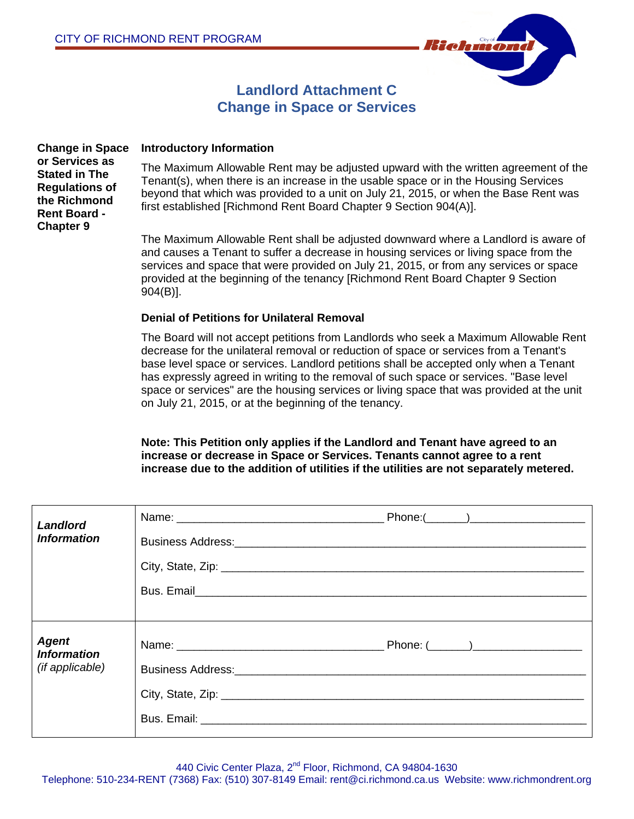

# **Landlord Attachment C Change in Space or Services**

**Change in Space or Services as Stated in The Regulations of the Richmond Rent Board - Chapter 9**

### **Introductory Information**

The Maximum Allowable Rent may be adjusted upward with the written agreement of the Tenant(s), when there is an increase in the usable space or in the Housing Services beyond that which was provided to a unit on July 21, 2015, or when the Base Rent was first established [Richmond Rent Board Chapter 9 Section 904(A)].

The Maximum Allowable Rent shall be adjusted downward where a Landlord is aware of and causes a Tenant to suffer a decrease in housing services or living space from the services and space that were provided on July 21, 2015, or from any services or space provided at the beginning of the tenancy [Richmond Rent Board Chapter 9 Section 904(B)].

#### **Denial of Petitions for Unilateral Removal**

The Board will not accept petitions from Landlords who seek a Maximum Allowable Rent decrease for the unilateral removal or reduction of space or services from a Tenant's base level space or services. Landlord petitions shall be accepted only when a Tenant has expressly agreed in writing to the removal of such space or services. "Base level space or services" are the housing services or living space that was provided at the unit on July 21, 2015, or at the beginning of the tenancy.

**Note: This Petition only applies if the Landlord and Tenant have agreed to an increase or decrease in Space or Services. Tenants cannot agree to a rent increase due to the addition of utilities if the utilities are not separately metered.** 

| Landlord<br><b>Information</b>                        |  |
|-------------------------------------------------------|--|
| <b>Agent</b><br><b>Information</b><br>(if applicable) |  |

440 Civic Center Plaza, 2<sup>nd</sup> Floor, Richmond, CA 94804-1630

Telephone: 510-234-RENT (7368) Fax: (510) 307-8149 Email: rent@ci.richmond.ca.us Website: www.richmondrent.org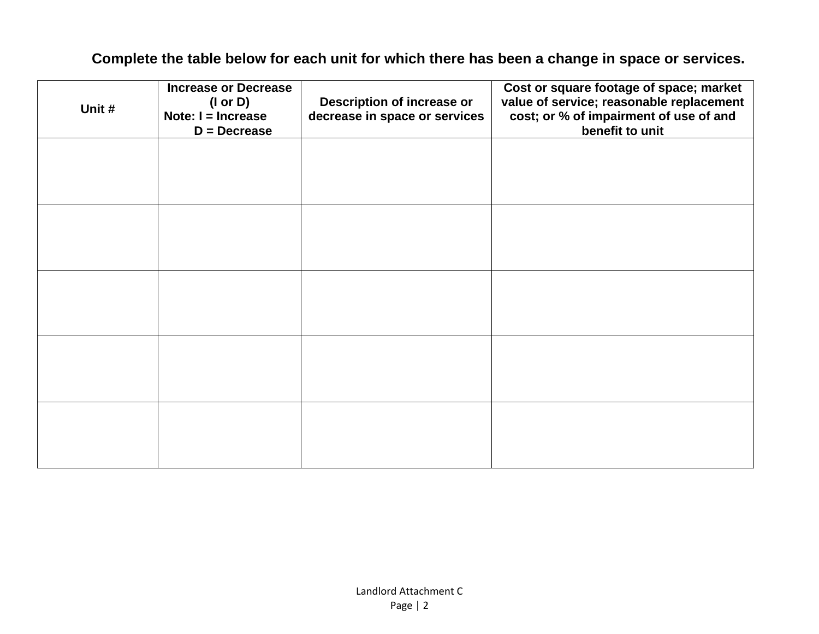# **Complete the table below for each unit for which there has been a change in space or services.**

| Unit # | <b>Increase or Decrease</b><br>$($ l or D $)$<br>Note: $I = Increase$<br>$D =$ Decrease | Description of increase or<br>decrease in space or services | Cost or square footage of space; market<br>value of service; reasonable replacement<br>cost; or % of impairment of use of and<br>benefit to unit |
|--------|-----------------------------------------------------------------------------------------|-------------------------------------------------------------|--------------------------------------------------------------------------------------------------------------------------------------------------|
|        |                                                                                         |                                                             |                                                                                                                                                  |
|        |                                                                                         |                                                             |                                                                                                                                                  |
|        |                                                                                         |                                                             |                                                                                                                                                  |
|        |                                                                                         |                                                             |                                                                                                                                                  |
|        |                                                                                         |                                                             |                                                                                                                                                  |
|        |                                                                                         |                                                             |                                                                                                                                                  |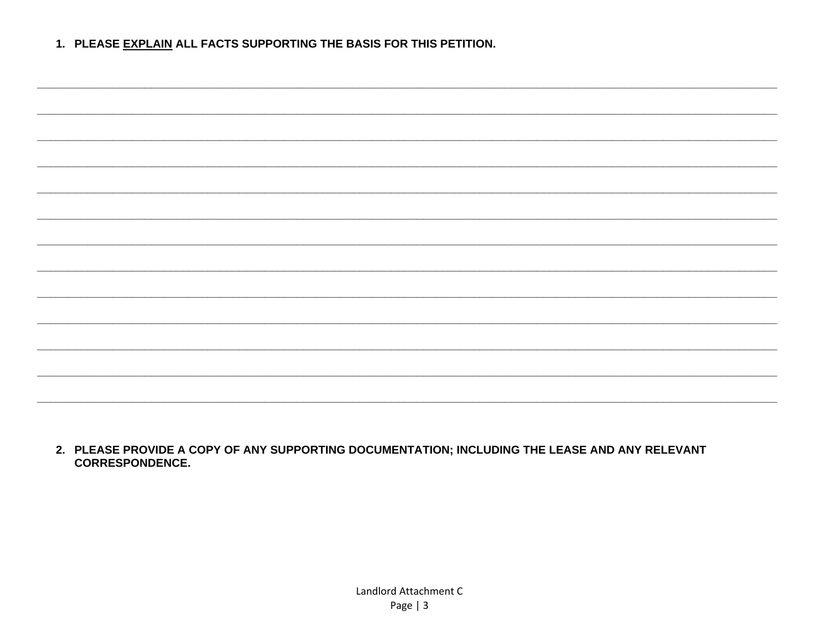1. PLEASE EXPLAIN ALL FACTS SUPPORTING THE BASIS FOR THIS PETITION.

2. PLEASE PROVIDE A COPY OF ANY SUPPORTING DOCUMENTATION; INCLUDING THE LEASE AND ANY RELEVANT **CORRESPONDENCE.**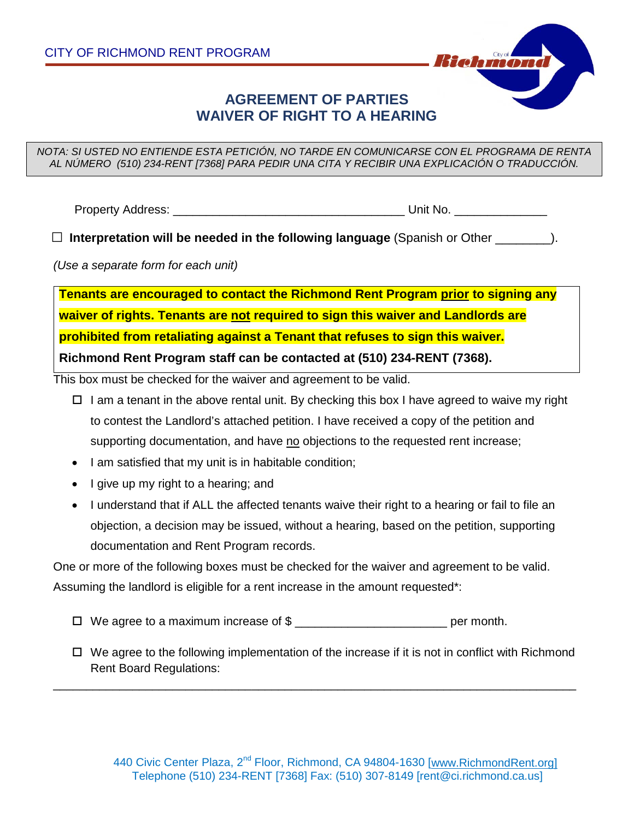

## **AGREEMENT OF PARTIES WAIVER OF RIGHT TO A HEARING**

*NOTA: SI USTED NO ENTIENDE ESTA PETICIÓN, NO TARDE EN COMUNICARSE CON EL PROGRAMA DE RENTA AL NÚMERO (510) 234-RENT [7368] PARA PEDIR UNA CITA Y RECIBIR UNA EXPLICACIÓN O TRADUCCIÓN.*

Property Address: \_\_\_\_\_\_\_\_\_\_\_\_\_\_\_\_\_\_\_\_\_\_\_\_\_\_\_\_\_\_\_\_\_\_\_ Unit No. \_\_\_\_\_\_\_\_\_\_\_\_\_\_

□ **Interpretation will be needed in the following language** (Spanish or Other \_\_\_\_\_\_\_\_).

*(Use a separate form for each unit)*

**Tenants are encouraged to contact the Richmond Rent Program prior to signing any waiver of rights. Tenants are not required to sign this waiver and Landlords are prohibited from retaliating against a Tenant that refuses to sign this waiver. Richmond Rent Program staff can be contacted at (510) 234-RENT (7368).**

This box must be checked for the waiver and agreement to be valid.

- $\Box$  I am a tenant in the above rental unit. By checking this box I have agreed to waive my right to contest the Landlord's attached petition. I have received a copy of the petition and supporting documentation, and have no objections to the requested rent increase;
- I am satisfied that my unit is in habitable condition;
- I give up my right to a hearing; and
- I understand that if ALL the affected tenants waive their right to a hearing or fail to file an objection, a decision may be issued, without a hearing, based on the petition, supporting documentation and Rent Program records.

One or more of the following boxes must be checked for the waiver and agreement to be valid. Assuming the landlord is eligible for a rent increase in the amount requested\*:

- $\Box$  We agree to a maximum increase of \$  $\Box$
- $\Box$  We agree to the following implementation of the increase if it is not in conflict with Richmond Rent Board Regulations:

\_\_\_\_\_\_\_\_\_\_\_\_\_\_\_\_\_\_\_\_\_\_\_\_\_\_\_\_\_\_\_\_\_\_\_\_\_\_\_\_\_\_\_\_\_\_\_\_\_\_\_\_\_\_\_\_\_\_\_\_\_\_\_\_\_\_\_\_\_\_\_\_\_\_\_\_\_\_\_